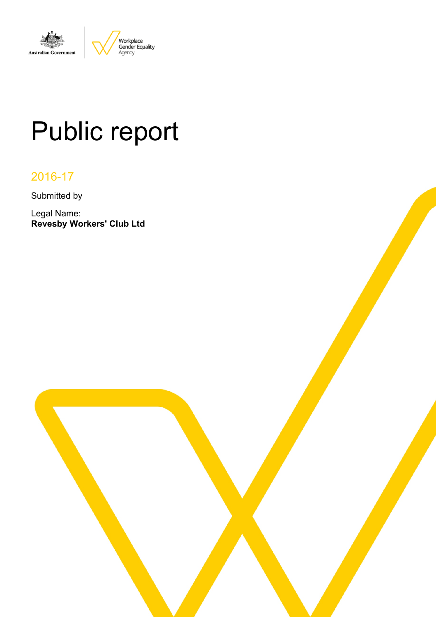

# Public report

# 2016-17

Submitted by

Legal Name: **Revesby Workers' Club Ltd**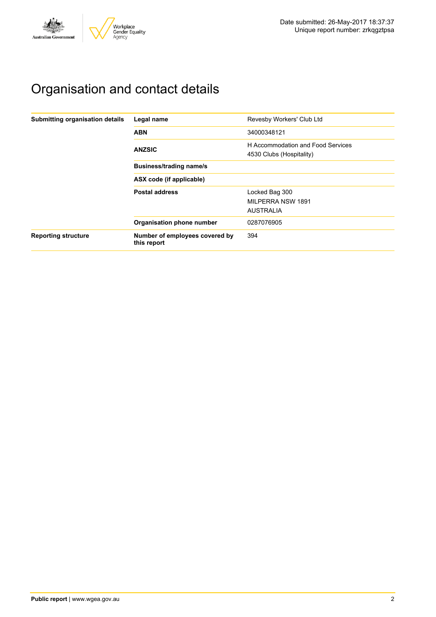

# Organisation and contact details

| Submitting organisation details | Legal name                                    | Revesby Workers' Club Ltd                                     |  |  |  |  |
|---------------------------------|-----------------------------------------------|---------------------------------------------------------------|--|--|--|--|
|                                 | <b>ABN</b>                                    | 34000348121                                                   |  |  |  |  |
|                                 | <b>ANZSIC</b>                                 | H Accommodation and Food Services<br>4530 Clubs (Hospitality) |  |  |  |  |
|                                 | <b>Business/trading name/s</b>                |                                                               |  |  |  |  |
|                                 | ASX code (if applicable)                      |                                                               |  |  |  |  |
|                                 | <b>Postal address</b>                         | Locked Bag 300                                                |  |  |  |  |
|                                 |                                               | MILPERRA NSW 1891                                             |  |  |  |  |
|                                 |                                               | <b>AUSTRALIA</b>                                              |  |  |  |  |
|                                 | Organisation phone number                     | 0287076905                                                    |  |  |  |  |
| <b>Reporting structure</b>      | Number of employees covered by<br>this report | 394                                                           |  |  |  |  |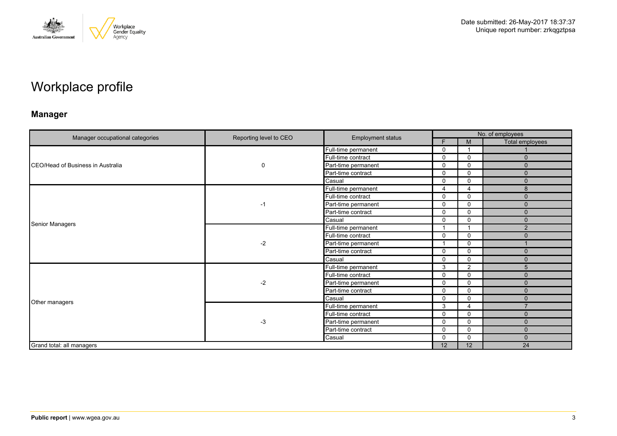

# Workplace profile

## **Manager**

|                                   | Reporting level to CEO | <b>Employment status</b> | No. of employees |                          |                 |  |
|-----------------------------------|------------------------|--------------------------|------------------|--------------------------|-----------------|--|
| Manager occupational categories   |                        |                          | F.               | M                        | Total employees |  |
|                                   |                        | Full-time permanent      | $\mathbf 0$      | $\overline{\phantom{a}}$ |                 |  |
|                                   |                        | Full-time contract       | $\Omega$         | $\mathbf 0$              | $\Omega$        |  |
| CEO/Head of Business in Australia | 0                      | Part-time permanent      | $\Omega$         | 0                        | $\Omega$        |  |
|                                   |                        | Part-time contract       | $\mathbf 0$      | $\mathbf 0$              | $\mathbf{0}$    |  |
|                                   |                        | Casual                   | $\Omega$         | $\mathbf 0$              | $\Omega$        |  |
|                                   |                        | Full-time permanent      | 4                | 4                        | 8               |  |
|                                   |                        | Full-time contract       | $\mathbf 0$      | $\mathbf 0$              | $\mathbf{0}$    |  |
|                                   | -1                     | Part-time permanent      | $\Omega$         | 0                        | $\Omega$        |  |
| Senior Managers                   |                        | Part-time contract       | $\mathbf 0$      | $\mathbf 0$              | $\mathbf{0}$    |  |
|                                   |                        | Casual                   | $\Omega$         | $\mathbf{0}$             | $\Omega$        |  |
|                                   | $-2$                   | Full-time permanent      |                  | $\overline{\phantom{a}}$ | 2               |  |
|                                   |                        | Full-time contract       | $\Omega$         | $\mathbf 0$              | $\Omega$        |  |
|                                   |                        | Part-time permanent      |                  | $\mathbf 0$              |                 |  |
|                                   |                        | Part-time contract       | $\mathbf 0$      | $\mathbf 0$              | $\Omega$        |  |
|                                   |                        | Casual                   | $\Omega$         | $\mathbf 0$              | $\mathbf{0}$    |  |
|                                   |                        | Full-time permanent      | 3                | 2                        | 5               |  |
|                                   |                        | Full-time contract       | $\mathbf 0$      | $\mathbf 0$              | $\Omega$        |  |
|                                   | $-2$                   | Part-time permanent      | $\Omega$         | $\mathbf 0$              | $\mathbf{0}$    |  |
|                                   |                        | Part-time contract       | $\mathbf 0$      | $\mathbf 0$              | $\Omega$        |  |
|                                   |                        | Casual                   | $\Omega$         | 0                        | $\Omega$        |  |
| Other managers                    |                        | Full-time permanent      | 3                | 4                        | $\overline{7}$  |  |
|                                   |                        | Full-time contract       | $\Omega$         | $\mathbf 0$              | $\Omega$        |  |
|                                   | $-3$                   | Part-time permanent      | $\Omega$         | 0                        | $\Omega$        |  |
|                                   |                        | Part-time contract       | $\Omega$         | $\mathbf{0}$             | $\mathbf{0}$    |  |
|                                   |                        | Casual                   | $\Omega$         | $\mathbf{0}$             | $\Omega$        |  |
| Grand total: all managers         |                        |                          | 12               | 12                       | 24              |  |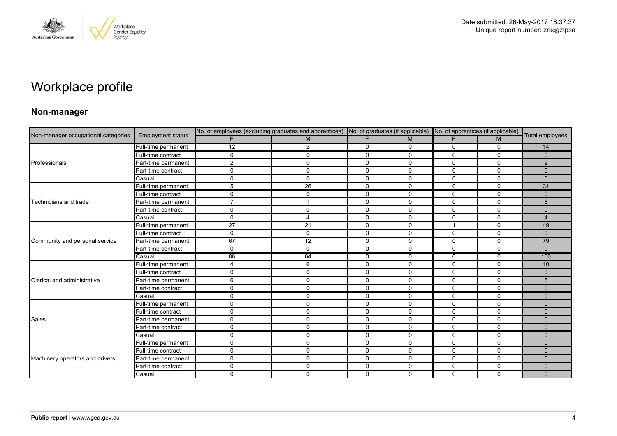

# Workplace profile

### **Non-manager**

| Non-manager occupational categories |                          | No. of employees (excluding graduates and apprentices) No. of graduates (if applicable) No. of apprentices (if applicable) |                |              |              |                         |             |                 |
|-------------------------------------|--------------------------|----------------------------------------------------------------------------------------------------------------------------|----------------|--------------|--------------|-------------------------|-------------|-----------------|
|                                     | <b>Employment status</b> |                                                                                                                            | M              | F            | M            | F.                      | M           | Total employees |
|                                     | Full-time permanent      | 12                                                                                                                         | $\overline{2}$ | 0            | 0            | 0                       | 0           | 14              |
|                                     | Full-time contract       | $\Omega$                                                                                                                   | $\mathbf 0$    | $\mathbf 0$  | $\mathbf 0$  | $\Omega$                | $\mathbf 0$ | $\mathbf{0}$    |
| Professionals                       | Part-time permanent      | 2                                                                                                                          | $\mathbf 0$    | $\mathbf 0$  | 0            | $\Omega$                | $\Omega$    | 2               |
|                                     | Part-time contract       | $\Omega$                                                                                                                   | 0              | 0            | 0            | 0                       | $\mathbf 0$ | $\mathbf{0}$    |
|                                     | Casual                   | $\Omega$                                                                                                                   | $\mathbf 0$    | $\mathbf 0$  | $\mathbf 0$  | $\Omega$                | $\mathbf 0$ | $\Omega$        |
|                                     | Full-time permanent      | 5                                                                                                                          | 26             | $\mathbf 0$  | $\mathbf 0$  | 0                       | $\mathbf 0$ | 31              |
|                                     | Full-time contract       | $\mathbf{0}$                                                                                                               | 0              | 0            | 0            | 0                       | 0           | $\mathbf{0}$    |
| Technicians and trade               | Part-time permanent      | $\overline{ }$                                                                                                             | $\overline{1}$ | $\mathbf 0$  | $\mathbf 0$  | 0                       | $\mathbf 0$ | 8               |
|                                     | Part-time contract       | $\Omega$                                                                                                                   | 0              | $\mathbf 0$  | $\mathbf 0$  | 0                       | $\mathbf 0$ | $\mathbf 0$     |
|                                     | Casual                   | $\Omega$                                                                                                                   | $\overline{4}$ | $\mathbf 0$  | 0            | $\Omega$                | $\mathbf 0$ | $\overline{4}$  |
|                                     | Full-time permanent      | 27                                                                                                                         | 21             | $\mathbf 0$  | 0            | $\overline{\mathbf{1}}$ | $\mathbf 0$ | 49              |
|                                     | Full-time contract       | $\Omega$                                                                                                                   | $\mathbf 0$    | $\mathbf 0$  | 0            | $\Omega$                | $\mathbf 0$ | $\mathbf{0}$    |
| Community and personal service      | Part-time permanent      | 67                                                                                                                         | 12             | $\mathbf 0$  | $\mathbf 0$  | $\mathbf 0$             | $\mathbf 0$ | 79              |
|                                     | Part-time contract       | $\Omega$                                                                                                                   | $\mathbf 0$    | 0            | 0            | 0                       | 0           | $\Omega$        |
|                                     | Casual                   | 86                                                                                                                         | 64             | $\mathbf{0}$ | $\Omega$     | $\Omega$                | $\Omega$    | 150             |
|                                     | Full-time permanent      | $\overline{4}$                                                                                                             | 6              | $\mathbf 0$  | $\mathbf 0$  | $\mathbf 0$             | $\mathbf 0$ | 10              |
|                                     | Full-time contract       | $\Omega$                                                                                                                   | $\mathbf 0$    | $\mathbf 0$  | $\Omega$     | $\Omega$                | $\mathbf 0$ | $\Omega$        |
| Clerical and administrative         | Part-time permanent      | 6                                                                                                                          | $\mathbf{0}$   | $\mathbf{0}$ | $\Omega$     | $\Omega$                | $\Omega$    | 6               |
|                                     | Part-time contract       | $\mathbf{0}$                                                                                                               | 0              | 0            | 0            | $\mathbf 0$             | 0           | $\Omega$        |
|                                     | Casual                   | $\Omega$                                                                                                                   | 0              | $\mathbf 0$  | $\mathbf 0$  | $\mathbf 0$             | $\mathbf 0$ | $\mathbf{0}$    |
|                                     | Full-time permanent      | $\Omega$                                                                                                                   | $\mathbf 0$    | $\mathbf 0$  | 0            | $\Omega$                | $\mathbf 0$ | $\Omega$        |
|                                     | Full-time contract       | $\Omega$                                                                                                                   | 0              | $\mathbf 0$  | 0            | 0                       | $\mathbf 0$ | $\Omega$        |
| Sales                               | Part-time permanent      | $\Omega$                                                                                                                   | $\mathbf 0$    | $\mathbf 0$  | $\mathbf 0$  | $\mathbf 0$             | $\mathbf 0$ | $\mathbf{0}$    |
|                                     | Part-time contract       | 0                                                                                                                          | $\mathbf 0$    | $\mathbf 0$  | 0            | 0                       | $\mathbf 0$ | $\Omega$        |
|                                     | Casual                   | $\Omega$                                                                                                                   | $\mathbf 0$    | $\mathbf 0$  | $\mathbf{0}$ | $\Omega$                | $\mathbf 0$ | $\Omega$        |
|                                     | Full-time permanent      | $\Omega$                                                                                                                   | $\mathbf 0$    | $\mathbf 0$  | $\mathbf 0$  | $\mathbf 0$             | $\mathbf 0$ | $\mathbf{0}$    |
|                                     | Full-time contract       | $\Omega$                                                                                                                   | $\mathbf 0$    | $\mathbf 0$  | 0            | 0                       | $\mathbf 0$ | $\Omega$        |
| Machinery operators and drivers     | Part-time permanent      | $\Omega$                                                                                                                   | $\mathbf 0$    | $\Omega$     | $\Omega$     | $\Omega$                | $\Omega$    | $\Omega$        |
|                                     | Part-time contract       | $\Omega$                                                                                                                   | $\mathbf 0$    | $\mathbf 0$  | $\mathbf 0$  | 0                       | $\mathbf 0$ | $\mathbf{0}$    |
|                                     | Casual                   | $\Omega$                                                                                                                   | $\Omega$       | $\Omega$     | $\mathbf{0}$ | $\Omega$                | $\mathbf 0$ | $\Omega$        |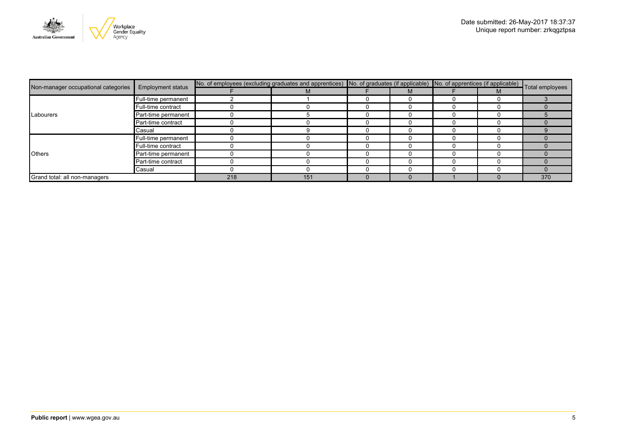

|                                     | <b>Employment status</b> | No. of employees (excluding graduates and apprentices) No. of graduates (if applicable) No. of apprentices (if applicable) Total employees |     |  |  |  |  |     |
|-------------------------------------|--------------------------|--------------------------------------------------------------------------------------------------------------------------------------------|-----|--|--|--|--|-----|
| Non-manager occupational categories |                          |                                                                                                                                            | М   |  |  |  |  |     |
|                                     | Full-time permanent      |                                                                                                                                            |     |  |  |  |  |     |
|                                     | Full-time contract       |                                                                                                                                            |     |  |  |  |  |     |
| Labourers                           | Part-time permanent      |                                                                                                                                            |     |  |  |  |  |     |
|                                     | Part-time contract       |                                                                                                                                            |     |  |  |  |  |     |
|                                     | Casual                   |                                                                                                                                            |     |  |  |  |  |     |
| <b>Others</b>                       | Full-time permanent      |                                                                                                                                            |     |  |  |  |  |     |
|                                     | Full-time contract       |                                                                                                                                            |     |  |  |  |  |     |
|                                     | Part-time permanent      |                                                                                                                                            |     |  |  |  |  |     |
|                                     | Part-time contract       |                                                                                                                                            |     |  |  |  |  |     |
|                                     | Casual                   |                                                                                                                                            |     |  |  |  |  |     |
| Grand total: all non-managers       |                          | 218                                                                                                                                        | 151 |  |  |  |  | 370 |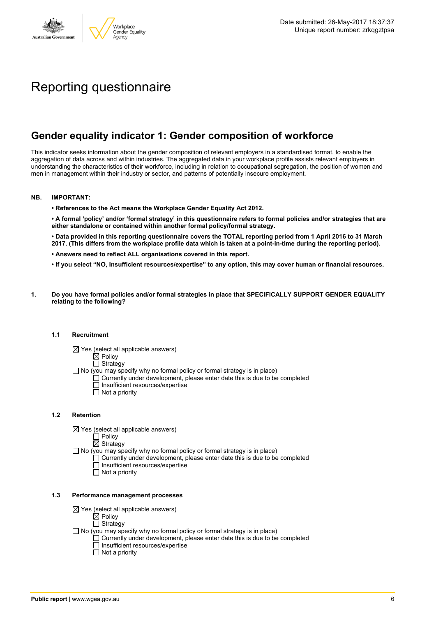

# Reporting questionnaire

## **Gender equality indicator 1: Gender composition of workforce**

This indicator seeks information about the gender composition of relevant employers in a standardised format, to enable the aggregation of data across and within industries. The aggregated data in your workplace profile assists relevant employers in understanding the characteristics of their workforce, including in relation to occupational segregation, the position of women and men in management within their industry or sector, and patterns of potentially insecure employment.

#### **NB. IMPORTANT:**

**• References to the Act means the Workplace Gender Equality Act 2012.**

• A formal 'policy' and/or 'formal strategy' in this questionnaire refers to formal policies and/or strategies that are **either standalone or contained within another formal policy/formal strategy.**

• Data provided in this reporting questionnaire covers the TOTAL reporting period from 1 April 2016 to 31 March 2017. (This differs from the workplace profile data which is taken at a point-in-time during the reporting period).

- **• Answers need to reflect ALL organisations covered in this report.**
- . If you select "NO, Insufficient resources/expertise" to any option, this may cover human or financial resources.
- **1. Do you have formal policies and/or formal strategies in place that SPECIFICALLY SUPPORT GENDER EQUALITY relating to the following?**

#### **1.1 Recruitment**

- $\boxtimes$  Yes (select all applicable answers)
	- $\mathbb{\dot{A}}$  Policy
	- $\Box$  Strategy
- No (you may specify why no formal policy or formal strategy is in place)
	- $\Box$  Currently under development, please enter date this is due to be completed
		- $\overline{\Box}$  Insufficient resources/expertise
		- $\Box$  Not a priority

#### **1.2 Retention**

- $\boxtimes$  Yes (select all applicable answers)
	- $\Box$  Policy
	- $\boxtimes$  Strategy
- No (you may specify why no formal policy or formal strategy is in place)
	- $\Box$  Currently under development, please enter date this is due to be completed
		- Insufficient resources/expertise
		- Not a priority

#### **1.3 Performance management processes**

- $\boxtimes$  Yes (select all applicable answers)
	- **⊠** Policy
	- $\Box$  Strategy
- $\Box$  No (you may specify why no formal policy or formal strategy is in place)
	- $\Box$  Currently under development, please enter date this is due to be completed
	- $\Box$  Insufficient resources/expertise
	- $\Box$  Not a priority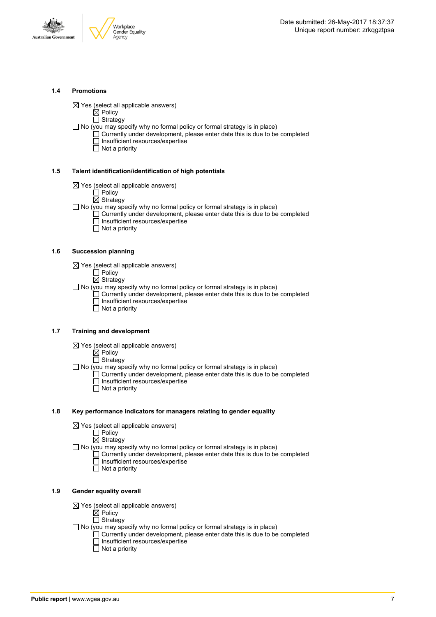



#### **1.4 Promotions**

 $\boxtimes$  Yes (select all applicable answers)

 $\boxtimes$  Policy  $\Box$  Strategy

- $\Box$  No (you may specify why no formal policy or formal strategy is in place)
	- $\Box$  Currently under development, please enter date this is due to be completed □ Insufficient resources/expertise
		- $\overline{\Box}$  Not a priority

#### **1.5 Talent identification/identification of high potentials**

- $\boxtimes$  Yes (select all applicable answers)
	- Policy
	- $\overline{\boxtimes}$  Strategy
- $\Box$  No (you may specify why no formal policy or formal strategy is in place)
	- Currently under development, please enter date this is due to be completed Insufficient resources/expertise
		- $\overline{\Box}$  Not a priority

#### **1.6 Succession planning**

- $\boxtimes$  Yes (select all applicable answers)
	- $\Box$  Policy
	- $\overline{\boxtimes}$  Strategy

 $\Box$  No (you may specify why no formal policy or formal strategy is in place)

- $\Box$  Currently under development, please enter date this is due to be completed Insufficient resources/expertise
- Not a priority

#### **1.7 Training and development**

- $\boxtimes$  Yes (select all applicable answers)
	- $\boxtimes$  Policy
		- $\Box$  Strategy
- $\Box$  No (you may specify why no formal policy or formal strategy is in place)
	- Currently under development, please enter date this is due to be completed Insufficient resources/expertise
		- $\Box$  Not a priority

#### **1.8 Key performance indicators for managers relating to gender equality**

- $\boxtimes$  Yes (select all applicable answers)
	- □ Policy
	- $\boxtimes$  Strategy
- $\Box$  No (you may specify why no formal policy or formal strategy is in place)
	- $\Box$  Currently under development, please enter date this is due to be completed Insufficient resources/expertise
		- Not a priority

#### **1.9 Gender equality overall**

- $\boxtimes$  Yes (select all applicable answers)
	- $\boxtimes$  Policy
	- $\Box$  Strategy
- $\Box$  No (you may specify why no formal policy or formal strategy is in place)
	- $\Box$  Currently under development, please enter date this is due to be completed □ Insufficient resources/expertise
		- $\Box$  Not a priority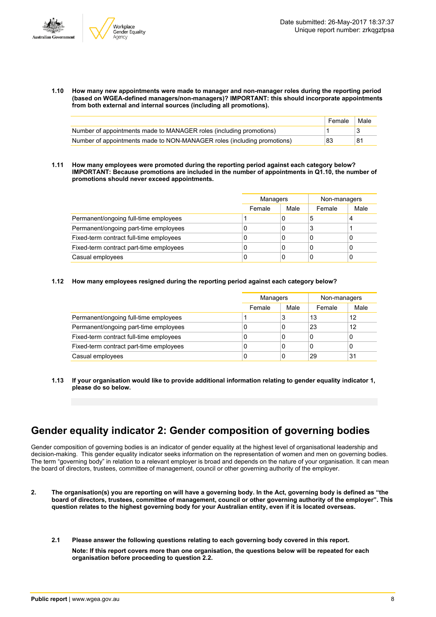

**1.10 How many new appointments were made to manager and non-manager roles during the reporting period (based on WGEA-defined managers/non-managers)? IMPORTANT: this should incorporate appointments from both external and internal sources (including all promotions).**

|                                                                         | Female | Male |
|-------------------------------------------------------------------------|--------|------|
| Number of appointments made to MANAGER roles (including promotions)     |        |      |
| Number of appointments made to NON-MANAGER roles (including promotions) | 83     | 81   |

**1.11 How many employees were promoted during the reporting period against each category below? IMPORTANT: Because promotions are included in the number of appointments in Q1.10, the number of promotions should never exceed appointments.**

|                                         | Managers |      | Non-managers |      |
|-----------------------------------------|----------|------|--------------|------|
|                                         | Female   | Male | Female       | Male |
| Permanent/ongoing full-time employees   |          | 0    | b            | 4    |
| Permanent/ongoing part-time employees   | 0        | 0    | ×            |      |
| Fixed-term contract full-time employees | U        | 0    |              | 0    |
| Fixed-term contract part-time employees | 0        | 0    |              | 0    |
| Casual employees                        | 0        | 0    |              | 0    |

#### **1.12 How many employees resigned during the reporting period against each category below?**

|                                         |        | <b>Managers</b> |        | Non-managers |
|-----------------------------------------|--------|-----------------|--------|--------------|
|                                         | Female | Male            | Female | Male         |
| Permanent/ongoing full-time employees   |        | 3               | 13     | 12           |
| Permanent/ongoing part-time employees   | υ      | 0               | 23     | 12           |
| Fixed-term contract full-time employees | 0      | 0               | 0      | 0            |
| Fixed-term contract part-time employees | 0      | 0               | 0      | 0            |
| Casual employees                        | 0      | 0               | 29     | 31           |

**1.13 If your organisation would like to provide additional information relating to gender equality indicator 1, please do so below.**

### **Gender equality indicator 2: Gender composition of governing bodies**

Gender composition of governing bodies is an indicator of gender equality at the highest level of organisational leadership and decision-making. This gender equality indicator seeks information on the representation of women and men on governing bodies. The term "governing body" in relation to a relevant employer is broad and depends on the nature of your organisation. It can mean the board of directors, trustees, committee of management, council or other governing authority of the employer.

- 2. The organisation(s) you are reporting on will have a governing body. In the Act, governing body is defined as "the board of directors, trustees, committee of management, council or other governing authority of the employer". This question relates to the highest governing body for your Australian entity, even if it is located overseas.
	- **2.1 Please answer the following questions relating to each governing body covered in this report. Note: If this report covers more than one organisation, the questions below will be repeated for each organisation before proceeding to question 2.2.**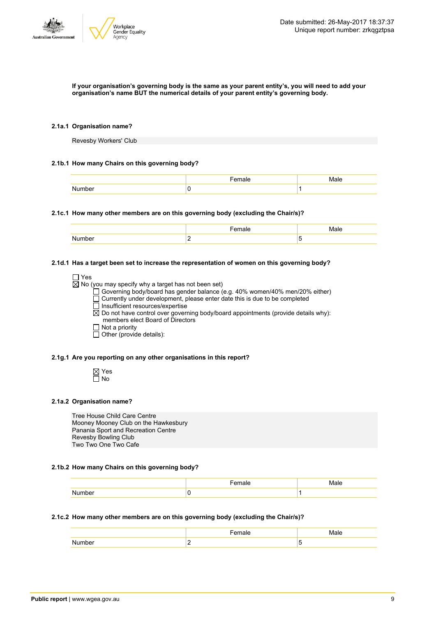

#### If your organisation's governing body is the same as your parent entity's, you will need to add your **organisation's name BUT the numerical details of your parent entity's governing body.**

#### **2.1a.1 Organisation name?**

Revesby Workers' Club

#### **2.1b.1 How many Chairs on this governing body?**

| ıе |  |
|----|--|
| v  |  |

#### **2.1c.1 How many other members are on this governing body (excluding the Chair/s)?**

#### **2.1d.1 Has a target been set to increase the representation of women on this governing body?**

| $\Box$ Yes                                                                                    |
|-----------------------------------------------------------------------------------------------|
| $\boxtimes$ No (you may specify why a target has not been set)                                |
| □ Governing body/board has gender balance (e.g. 40% women/40% men/20% either)                 |
| $\Box$ Currently under development, please enter date this is due to be completed             |
| $\Box$ Insufficient resources/expertise                                                       |
| $\boxtimes$ Do not have control over governing body/board appointments (provide details why): |
| members elect Board of Directors                                                              |
| $\Box$ Not a priority                                                                         |
| $\Box$ Other (provide details):                                                               |
|                                                                                               |

#### **2.1g.1 Are you reporting on any other organisations in this report?**

Yes  $\overline{\Box}$  No

#### **2.1a.2 Organisation name?**

Tree House Child Care Centre Mooney Mooney Club on the Hawkesbury Panania Sport and Recreation Centre Revesby Bowling Club Two Two One Two Cafe

#### **2.1b.2 How many Chairs on this governing body?**

| . . |  |
|-----|--|

#### **2.1c.2 How many other members are on this governing body (excluding the Chair/s)?**

|  | ۰. |
|--|----|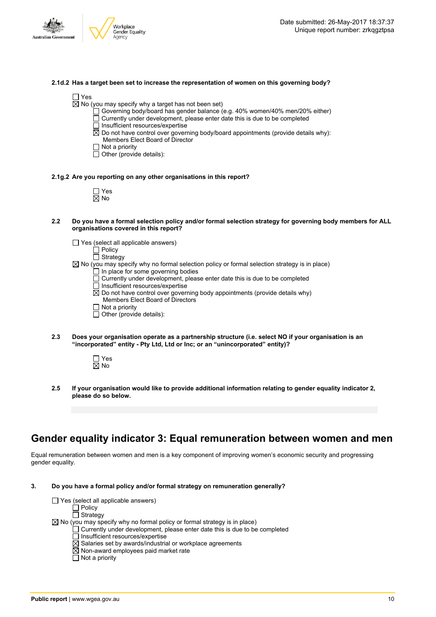

#### **2.1d.2 Has a target been set to increase the representation of women on this governing body?**

 $\boxtimes$  No (you may specify why a target has not been set)

- Governing body/board has gender balance (e.g. 40% women/40% men/20% either)
- $\Box$  Currently under development, please enter date this is due to be completed
- $\Box$  Insufficient resources/expertise
- $\boxtimes$  Do not have control over governing body/board appointments (provide details why): Members Elect Board of Director
- $\Box$  Not a priority
- $\Box$  Other (provide details):

#### **2.1g.2 Are you reporting on any other organisations in this report?**

| ٦<br>r. |
|---------|

- 2.2 Do you have a formal selection policy and/or formal selection strategy for governing body members for ALL **organisations covered in this report?**
	- $\Box$  Yes (select all applicable answers)
		- **门 Policy**
		- $\Box$  Strategy
	- $\boxtimes$  No (you may specify why no formal selection policy or formal selection strategy is in place)  $\Box$  In place for some governing bodies
		- □ Currently under development, please enter date this is due to be completed
		- $\Box$  Insufficient resources/expertise
		-
		- $\overline{\boxtimes}$  Do not have control over governing body appointments (provide details why) Members Elect Board of Directors
		- $\Box$  Not a priority
		- $\Box$  Other (provide details):
- **2.3 Does your organisation operate as a partnership structure (i.e. select NO if your organisation is an "incorporated" entity - Pty Ltd, Ltd or Inc; or an "unincorporated" entity)?**



**2.5 If your organisation would like to provide additional information relating to gender equality indicator 2, please do so below.**

### **Gender equality indicator 3: Equal remuneration between women and men**

Equal remuneration between women and men is a key component of improving women's economic security and progressing gender equality.

**3. Do you have a formal policy and/or formal strategy on remuneration generally?**

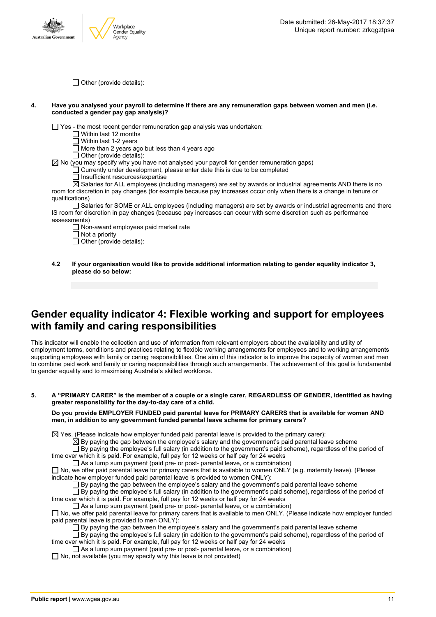

 $\Box$  Other (provide details):

#### 4. Have you analysed your payroll to determine if there are any remuneration gaps between women and men (i.e. **conducted a gender pay gap analysis)?**

 $\Box$  Yes - the most recent gender remuneration gap analysis was undertaken:

- $\Box$  Within last 12 months
- $\overline{\Box}$  Within last 1-2 years

 $\Box$  More than 2 years ago but less than 4 years ago

 $\Box$  Other (provide details):

 $\boxtimes$  No (you may specify why you have not analysed your payroll for gender remuneration gaps)

- $\Box$  Currently under development, please enter date this is due to be completed
	- $\Box$  Insufficient resources/expertise

Salaries for ALL employees (including managers) are set by awards or industrial agreements AND there is no room for discretion in pay changes (for example because pay increases occur only when there is a change in tenure or qualifications)

 $\Box$  Salaries for SOME or ALL employees (including managers) are set by awards or industrial agreements and there IS room for discretion in pay changes (because pay increases can occur with some discretion such as performance assessments)

- □ Non-award employees paid market rate
- $\Box$  Not a priority

 $\Box$  Other (provide details):

**4.2 If your organisation would like to provide additional information relating to gender equality indicator 3, please do so below:**

### **Gender equality indicator 4: Flexible working and support for employees with family and caring responsibilities**

This indicator will enable the collection and use of information from relevant employers about the availability and utility of employment terms, conditions and practices relating to flexible working arrangements for employees and to working arrangements supporting employees with family or caring responsibilities. One aim of this indicator is to improve the capacity of women and men to combine paid work and family or caring responsibilities through such arrangements. The achievement of this goal is fundamental to gender equality and to maximising Australia's skilled workforce.

5. A "PRIMARY CARER" is the member of a couple or a single carer. REGARDLESS OF GENDER, identified as having **greater responsibility for the day-to-day care of a child.**

**Do you provide EMPLOYER FUNDED paid parental leave for PRIMARY CARERS that is available for women AND men, in addition to any government funded parental leave scheme for primary carers?**

 $\boxtimes$  Yes. (Please indicate how employer funded paid parental leave is provided to the primary carer):

 $\boxtimes$  By paying the gap between the employee's salary and the government's paid parental leave scheme

 $\square$  By paying the employee's full salary (in addition to the government's paid scheme), regardless of the period of time over which it is paid. For example, full pay for 12 weeks or half pay for 24 weeks

 $\Box$  As a lump sum payment (paid pre- or post- parental leave, or a combination)

 $\Box$  No, we offer paid parental leave for primary carers that is available to women ONLY (e.g. maternity leave). (Please indicate how employer funded paid parental leave is provided to women ONLY):

 $\square$  By paying the gap between the employee's salary and the government's paid parental leave scheme

 $\Box$  By paying the employee's full salary (in addition to the government's paid scheme), regardless of the period of time over which it is paid. For example, full pay for 12 weeks or half pay for 24 weeks

 $\Box$  As a lump sum payment (paid pre- or post- parental leave, or a combination)

No, we offer paid parental leave for primary carers that is available to men ONLY. (Please indicate how employer funded paid parental leave is provided to men ONLY):

By paying the gap between the employee's salary and the government's paid parental leave scheme

By paying the employee's full salary (in addition to the government's paid scheme), regardless of the period of time over which it is paid. For example, full pay for 12 weeks or half pay for 24 weeks

 $\Box$  As a lump sum payment (paid pre- or post- parental leave, or a combination)

 $\Box$  No, not available (you may specify why this leave is not provided)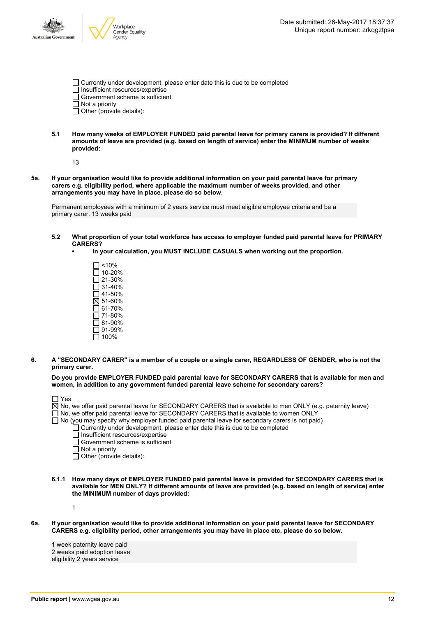

| Currently under development, please enter date this is due to be completed |
|----------------------------------------------------------------------------|
| Insufficient resources/expertise                                           |
| Government scheme is sufficient                                            |
| $\Box$ Not a priority                                                      |

- $\Box$  Other (provide details):
- **5.1 How many weeks of EMPLOYER FUNDED paid parental leave for primary carers is provided? If different amounts of leave are provided (e.g. based on length of service) enter the MINIMUM number of weeks provided:**

13

5a. If your organisation would like to provide additional information on your paid parental leave for primary **carers e.g. eligibility period, where applicable the maximum number of weeks provided, and other arrangements you may have in place, please do so below.**

Permanent employees with a minimum of 2 years service must meet eligible employee criteria and be a primary carer. 13 weeks paid

- **5.2 What proportion of your total workforce has access to employer funded paid parental leave for PRIMARY CARERS?**
	- **• In your calculation, you MUST INCLUDE CASUALS when working out the proportion.**
		- $\square$  <10%  $\Box$  10-20% 21-30% 31-40%  $\Box$  41-50%  $\overline{\boxtimes}$  51-60%  $\overline{\Box}$  61-70%  $\bar{2}$  71-80% 81-90% 91-99%  $\square$  100%
- 6. A "SECONDARY CARER" is a member of a couple or a single carer, REGARDLESS OF GENDER, who is not the **primary carer.**

**Do you provide EMPLOYER FUNDED paid parental leave for SECONDARY CARERS that is available for men and women, in addition to any government funded parental leave scheme for secondary carers?**

| $\Box$ Yes                                                                                                             |
|------------------------------------------------------------------------------------------------------------------------|
| $\boxtimes$ No, we offer paid parental leave for SECONDARY CARERS that is available to men ONLY (e.g. paternity leave) |
| □ No, we offer paid parental leave for SECONDARY CARERS that is available to women ONLY                                |
| $\Box$ No (you may specify why employer funded paid parental leave for secondary carers is not paid)                   |
| $\Box$ Currently under development, please enter date this is due to be completed                                      |
| $\Box$ Insufficient resources/expertise                                                                                |
| $\Box$ Government scheme is sufficient                                                                                 |
| $\Box$ Not a priority                                                                                                  |
| $\Box$ Other (provide details):                                                                                        |
|                                                                                                                        |

**6.1.1 How many days of EMPLOYER FUNDED paid parental leave is provided for SECONDARY CARERS that is** available for MEN ONLY? If different amounts of leave are provided (e.g. based on length of service) enter **the MINIMUM number of days provided:**

1

6a. If your organisation would like to provide additional information on your paid parental leave for SECONDARY **CARERS e.g. eligibility period, other arrangements you may have in place etc, please do so below.**

1 week paternity leave paid 2 weeks paid adoption leave eligibility 2 years service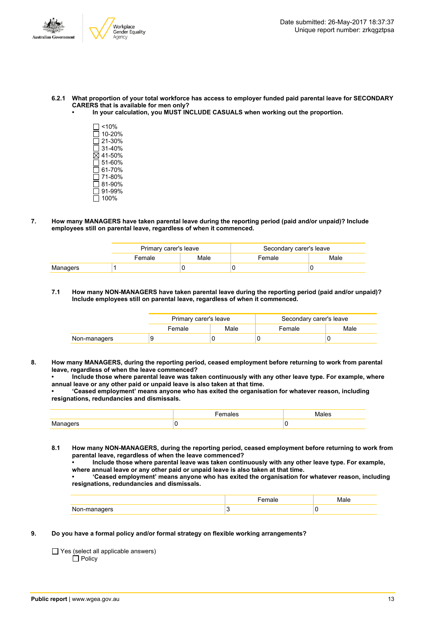

- 6.2.1 What proportion of your total workforce has access to employer funded paid parental leave for SECONDARY **CARERS that is available for men only?**
	- **• In your calculation, you MUST INCLUDE CASUALS when working out the proportion.**
		- $\Box$ <10%  $\overline{\Box}$  10-20%  $\Box$  21-30%  $\overline{\Box}$  31-40%  $\overline{\boxtimes}$  41-50%  $\Box$  51-60%  $\Box$  61-70%  $71-80%$ 81-90%  $\overline{\Box}$  91-99%  $\overline{\Box}$  100%
- **7. How many MANAGERS have taken parental leave during the reporting period (paid and/or unpaid)? Include employees still on parental leave, regardless of when it commenced.**

|          | Primary carer's leave |      | Secondary carer's leave |      |  |
|----------|-----------------------|------|-------------------------|------|--|
|          | Female                | Male | Female                  | Male |  |
| Managers |                       |      |                         |      |  |

**7.1 How many NON-MANAGERS have taken parental leave during the reporting period (paid and/or unpaid)? Include employees still on parental leave, regardless of when it commenced.**

|              | Primary carer's leave |      | Secondary carer's leave |      |  |
|--------------|-----------------------|------|-------------------------|------|--|
|              | Female                | Male | Female                  | Male |  |
| Non-managers | a                     |      |                         |      |  |

**8. How many MANAGERS, during the reporting period, ceased employment before returning to work from parental leave, regardless of when the leave commenced?**

**• Include those where parental leave was taken continuously with any other leave type. For example, where annual leave or any other paid or unpaid leave is also taken at that time.**

**• 'Ceased employment' means anyone who has exited the organisation for whatever reason, including resignations, redundancies and dismissals.**

| K/L<br>ט וביו ביו |  |
|-------------------|--|

**8.1 How many NON-MANAGERS, during the reporting period, ceased employment before returning to work from parental leave, regardless of when the leave commenced?**

**• Include those where parental leave was taken continuously with any other leave type. For example, where annual leave or any other paid or unpaid leave is also taken at that time.**

**• 'Ceased employment' means anyone who has exited the organisation for whatever reason, including resignations, redundancies and dismissals.**

|  | л. |
|--|----|

**9. Do you have a formal policy and/or formal strategy on flexible working arrangements?**

 $\Box$  Yes (select all applicable answers)  $\Box$  Policy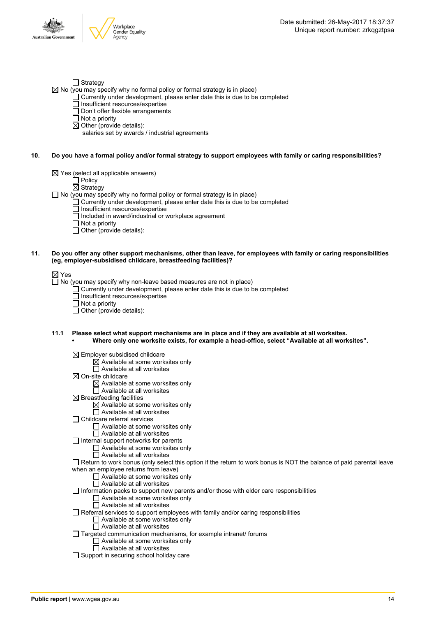

No (you may specify why no formal policy or formal strategy is in place)

- $\Box$  Currently under development, please enter date this is due to be completed
	- □ Insufficient resources/expertise
	- □ Don't offer flexible arrangements
	- $\overline{\Box}$  Not a priority
	- $\boxtimes$  Other (provide details):
		- salaries set by awards / industrial agreements
- 10. Do you have a formal policy and/or formal strategy to support employees with family or caring responsibilities?
	- $\boxtimes$  Yes (select all applicable answers)
		- $\square$  Policy
			- $\boxtimes$  Strategy
	- $\Box$  No (you may specify why no formal policy or formal strategy is in place)
		- $\Box$  Currently under development, please enter date this is due to be completed
			- $\Box$  Insufficient resources/expertise
			- □ Included in award/industrial or workplace agreement
		- $\Box$  Not a priority
		- $\Box$  Other (provide details):
- 11. Do you offer any other support mechanisms, other than leave, for employees with family or caring responsibilities **(eg, employer-subsidised childcare, breastfeeding facilities)?**

 $\Box$  No (you may specify why non-leave based measures are not in place)

- Currently under development, please enter date this is due to be completed
- Insufficient resources/expertise
- Not a priority
- $\Box$  Other (provide details):
- **11.1 Please select what support mechanisms are in place and if they are available at all worksites.**
	- **• Where only one worksite exists, for example a head-office, select "Available at all worksites".**
		- $\boxtimes$  Employer subsidised childcare
			- $\boxtimes$  Available at some worksites only
			- $\Box$  Available at all worksites
		- $\boxtimes$  On-site childcare
			- $\boxtimes$  Available at some worksites only
			- $\Box$  Available at all worksites
		- $\boxtimes$  Breastfeeding facilities
			- $\boxtimes$  Available at some worksites only
			- $\Box$  Available at all worksites
		- □ Childcare referral services
			- Available at some worksites only
			- $\Box$  Available at all worksites
		- $\Box$  Internal support networks for parents
			- $\Box$  Available at some worksites only
				- $\overline{\Box}$  Available at all worksites
		- Return to work bonus (only select this option if the return to work bonus is NOT the balance of paid parental leave when an employee returns from leave)
			- □ Available at some worksites only
			- $\Box$  Available at all worksites
		- $\Box$  Information packs to support new parents and/or those with elder care responsibilities
			- Available at some worksites only
			- □ Available at all worksites
		- $\Box$  Referral services to support employees with family and/or caring responsibilities
			- □ Available at some worksites only
			- □ Available at all worksites
		- $\Box$  Targeted communication mechanisms, for example intranet/ forums
			- $\Box$  Available at some worksites only
				- □ Available at all worksites
		- □ Support in securing school holiday care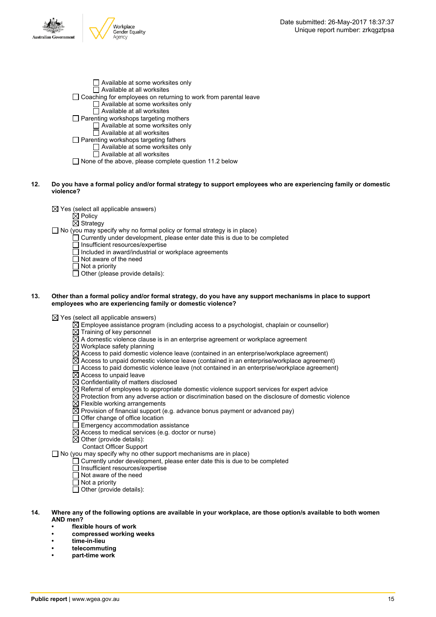

- □ Available at some worksites only  $\Box$  Available at all worksites Coaching for employees on returning to work from parental leave Available at some worksites only  $\Box$  Available at all worksites  $\Box$  Parenting workshops targeting mothers  $\Box$  Available at some worksites only  $\Box$  Available at all worksites  $\Box$  Parenting workshops targeting fathers □ Available at some worksites only  $\Box$  Available at all worksites
- $\Box$  None of the above, please complete question 11.2 below
- 12. Do you have a formal policy and/or formal strategy to support employees who are experiencing family or domestic **violence?**
	- $\boxtimes$  Yes (select all applicable answers)
		- $\boxtimes$  Policy
		- $\overline{\boxtimes}$  Strategy
	- □ No (you may specify why no formal policy or formal strategy is in place)
		- $\Box$  Currently under development, please enter date this is due to be completed
			- Insufficient resources/expertise
			- $\Box$  Included in award/industrial or workplace agreements
			- $\Box$  Not aware of the need
			- $\overline{\Box}$  Not a priority

 $\Box$  Other (please provide details):

#### 13. Other than a formal policy and/or formal strategy, do you have any support mechanisms in place to support **employees who are experiencing family or domestic violence?**

 $\boxtimes$  Yes (select all applicable answers)

- $\overline{\boxtimes}$  Employee assistance program (including access to a psychologist, chaplain or counsellor)
- $\overline{\boxtimes}$  Training of key personnel
- $\boxtimes$  A domestic violence clause is in an enterprise agreement or workplace agreement
- $\overline{\boxtimes}$  Workplace safety planning
- $\boxtimes$  Access to paid domestic violence leave (contained in an enterprise/workplace agreement)
- $\boxtimes$  Access to unpaid domestic violence leave (contained in an enterprise/workplace agreement)
- $\Box$  Access to paid domestic violence leave (not contained in an enterprise/workplace agreement)
- $\boxtimes$  Access to unpaid leave
- $\boxtimes$  Confidentiality of matters disclosed
- $\Xi$  Referral of employees to appropriate domestic violence support services for expert advice
- $\boxtimes$  Protection from any adverse action or discrimination based on the disclosure of domestic violence
- $\boxtimes$  Flexible working arrangements
- $\boxtimes$  Provision of financial support (e.g. advance bonus payment or advanced pay)
- $\Box$  Offer change of office location
- $\Box$  Emergency accommodation assistance
- $\boxtimes$  Access to medical services (e.g. doctor or nurse)
- $\boxtimes$  Other (provide details):
- Contact Officer Support

 $\Box$  No (you may specify why no other support mechanisms are in place)

- Currently under development, please enter date this is due to be completed
- Insufficient resources/expertise
- $\Box$  Not aware of the need
- □ Not a priority
- $\Box$  Other (provide details):
- 14. Where any of the following options are available in your workplace, are those option/s available to both women **AND men?**
	- **• flexible hours of work**
	- **• compressed working weeks**
	- **• time-in-lieu**
	- **• telecommuting**
	- **• part-time work**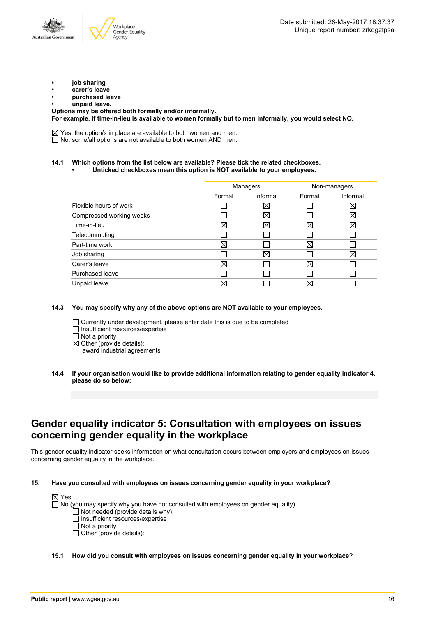- **• job sharing**
- **• carer's leave**
- **• purchased leave**
- **• unpaid leave.**

**Options may be offered both formally and/or informally. For example, if time-in-lieu is available to women formally but to men informally, you would select NO.**

 $\boxtimes$  Yes, the option/s in place are available to both women and men.  $\Box$  No, some/all options are not available to both women AND men.

#### **14.1 Which options from the list below are available? Please tick the related checkboxes.**

**• Unticked checkboxes mean this option is NOT available to your employees.**

| Managers |             | Non-managers |             |
|----------|-------------|--------------|-------------|
| Formal   | Informal    | Formal       | Informal    |
|          | X           |              | X           |
|          | ⊠           |              | X           |
| ⊠        | $\boxtimes$ | $\boxtimes$  | $\boxtimes$ |
|          |             |              |             |
| ⊠        |             | $\boxtimes$  |             |
|          | $\boxtimes$ |              | ⊠           |
| ⊠        |             | $\boxtimes$  |             |
|          |             |              |             |
| ⊠        |             | $\boxtimes$  |             |
|          |             |              |             |

**14.3 You may specify why any of the above options are NOT available to your employees.**

- Currently under development, please enter date this is due to be completed Insufficient resources/expertise Not a priority
- $\boxtimes$  Other (provide details):
	- award industrial agreements
- **14.4 If your organisation would like to provide additional information relating to gender equality indicator 4, please do so below:**

### **Gender equality indicator 5: Consultation with employees on issues concerning gender equality in the workplace**

This gender equality indicator seeks information on what consultation occurs between employers and employees on issues concerning gender equality in the workplace.

**15. Have you consulted with employees on issues concerning gender equality in your workplace?**



**15.1 How did you consult with employees on issues concerning gender equality in your workplace?**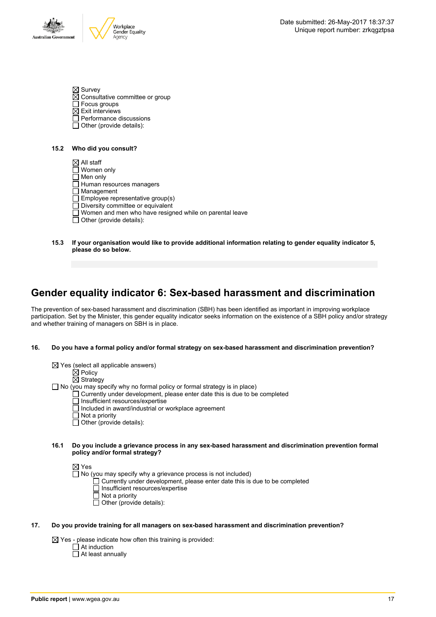

 $\boxtimes$  Survey  $\overline{\boxtimes}$  Consultative committee or group

- □ Focus groups
- $\boxtimes$  Exit interviews
- Performance discussions
- $\Box$  Other (provide details):

#### **15.2 Who did you consult?**

- $\boxtimes$  All staff □ Women only
- Men only
- Human resources managers
- $\overline{\Box}$  Management
- Employee representative group(s)
- Diversity committee or equivalent
- $\Box$  Women and men who have resigned while on parental leave
- $\Box$  Other (provide details):
- **15.3 If your organisation would like to provide additional information relating to gender equality indicator 5, please do so below.**

# **Gender equality indicator 6: Sex-based harassment and discrimination**

The prevention of sex-based harassment and discrimination (SBH) has been identified as important in improving workplace participation. Set by the Minister, this gender equality indicator seeks information on the existence of a SBH policy and/or strategy and whether training of managers on SBH is in place.

#### **16. Do you have a formal policy and/or formal strategy on sex-based harassment and discrimination prevention?**

- $\boxtimes$  Yes (select all applicable answers)  $\mathsf{\dot{\boxtimes}}$  Policy
	- $\overline{\boxtimes}$  Strategy

 $\Box$  No (you may specify why no formal policy or formal strategy is in place)

- Currently under development, please enter date this is due to be completed
	- $\overline{\Box}$  Insufficient resources/expertise
	- Included in award/industrial or workplace agreement
	- Not a priority
	- $\Box$  Other (provide details):

#### **16.1 Do you include a grievance process in any sex-based harassment and discrimination prevention formal policy and/or formal strategy?**

#### ⊠ Yes

 $\Box$  No (you may specify why a grievance process is not included)

- Currently under development, please enter date this is due to be completed
- □ Insufficient resources/expertise
- $\Box$  Not a priority
- $\Box$  Other (provide details):

#### **17. Do you provide training for all managers on sex-based harassment and discrimination prevention?**

 $\boxtimes$  Yes - please indicate how often this training is provided:

- $\Box$  At induction
- At least annually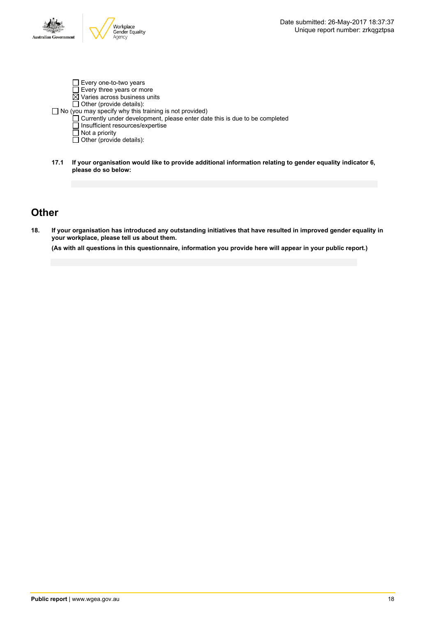

- Every one-to-two years Every three years or more  $\overline{\boxtimes}$  Varies across business units  $\Box$  Other (provide details): No (you may specify why this training is not provided) Currently under development, please enter date this is due to be completed  $\overline{\Box}$  Insufficient resources/expertise Not a priority Other (provide details):
- **17.1 If your organisation would like to provide additional information relating to gender equality indicator 6, please do so below:**

### **Other**

18. If your organisation has introduced any outstanding initiatives that have resulted in improved gender equality in **your workplace, please tell us about them.**

(As with all questions in this questionnaire, information you provide here will appear in your public report.)